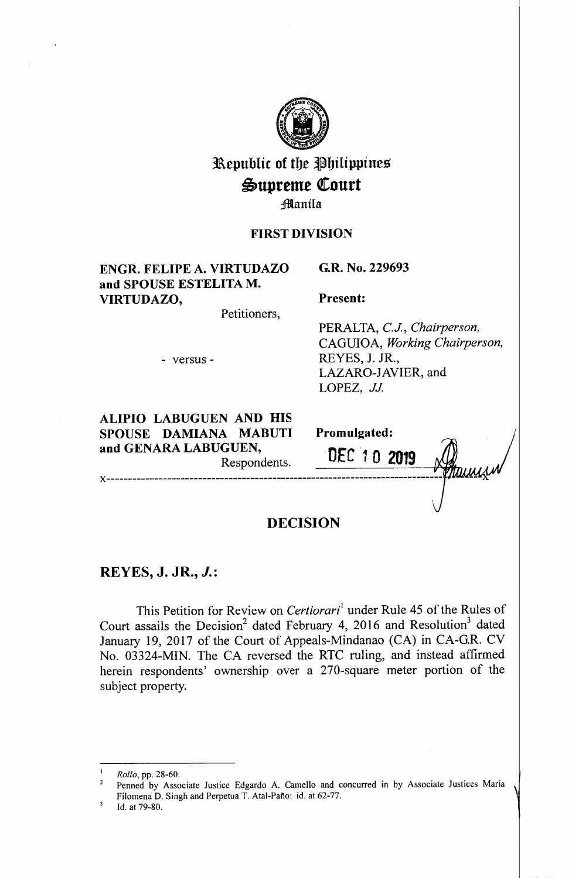

# Republic of the Philippines  $\mathfrak{Supreme}$  Court **Manila**

### **FIRST DIVISION**

## **ENGR. FELIPE A. VIRTUDAZO and SPOUSE ESTELITA M. VIRTUDAZO,**

Petitioners,

- versus -

**ALIPIO LABUGUEN AND HIS SPOUSE DAMIANA MABUTI and GENARA LABUGUEN,**  Respondents.

**Present:** 

**Promulgated:** 

DEC *·1* **0 2019** 

**G.R. No. 229693** 

PERALTA, *C.J., Chairperson,*  CAGUIOA, *Working Chairperson,*  REYES, J. JR., LAZARO-JAVIER, and LOPEZ, *JJ.* 

Ttiuus

# **DECISION**

**x-----------------------------------------------------------------------------**

## **REYES, J. JR.,** *J.:*

This Petition for Review on *Certiorari*<sup>1</sup> under Rule 45 of the Rules of Court assails the Decision<sup>2</sup> dated February 4, 2016 and Resolution<sup>3</sup> dated January 19, 2017 of the Court of Appeals-Mindanao (CA) in CA-G.R. CV No. 03324-MIN. The CA reversed the RTC ruling, and instead affirmed herein respondents' ownership over a 270-square meter portion of the subject property.

 $\frac{1}{2}$  *Rollo*, pp. 28-60.

<sup>2</sup> Penned by Associate Justice Edgardo A. Camella and concurred in by Associate Justices Maria Filomena D. Singh and Perpetua T. Atal-Pafio; id. at 62-77.

 $\overline{\mathbf{3}}$ Id. at 79-80.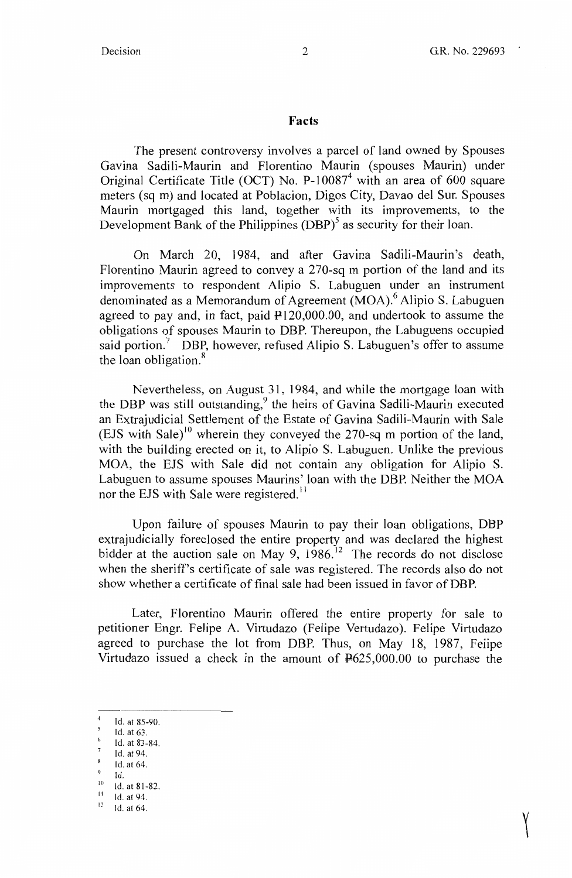$\Upsilon$ 

#### **Facts**

The present controversy involves a parcel of land owned by Spouses Gavina Sadili-Maurin and Florentino Maurin (spouses Maurin) under Original Certificate Title (OCT) No.  $P-10087<sup>4</sup>$  with an area of 600 square meters (sq m) and located at Poblacion, Digos City, Davao del Sur. Spouses Maurin mortgaged this land, together with its improvements, to the Development Bank of the Philippines  $(DBP)^5$  as security for their loan.

On March 20, 1984, and after Gavina Sadili-Maurin 's death, Florentino Maurin agreed to convey a 270-sq m portion of the land and its improvements to respondent Alipio S. Labuguen under an instrument denominated as a Memorandum of Agreement  $(MOA)$ <sup>6</sup> Alipio S. Labuguen agreed to pay and, in fact, paid  $\text{\textsterling}120,000.00$ , and undertook to assume the obligations of spouses Maurin to DBP. Thereupon, the Labuguens occupied said portion.<sup>7</sup> DBP, however, refused Alipio S. Labuguen's offer to assume the loan obligation.<sup>8</sup>

Nevertheless, on August 31, 1984, and while the mortgage loan with the DBP was still outstanding,<sup>9</sup> the heirs of Gavina Sadili-Maurin executed an Extrajudicial Settlement of the Estate of Gavina Sadili-Maurin with Sale (EJS with Sale)<sup>10</sup> wherein they conveyed the 270-sq m portion of the land, with the building erected on it, to Alipio S. Labuguen. Unlike the previous MOA, the EJS with Sale did not contain any obligation for Alipio S. Labuguen to assume spouses Maurins' loan with the DBP. Neither the MOA nor the EJS with Sale were registered.<sup>11</sup>

Upon failure of spouses Maurin to pay their loan obligations, DBP extrajudicially foreclosed the entire property and was declared the highest bidder at the auction sale on May 9,  $1986$ .<sup>12</sup> The records do not disclose when the sheriff's certificate of sale was registered. The records also do not show whether a certificate of final sale had been issued in favor of DBP.

Later, Florentino Maurin offered the entire property for sale to petitioner Engr. Felipe A. Virtudazo (Felipe Vertudazo). Felipe Virtudazo agreed to purchase the lot from DBP. Thus, on May 18, 1987, Felipe Virtudazo issued a check in the amount of  $\frac{12625,000.00}{100,000}$  to purchase the

Id. at 85-90.

Id.at63.

Id. at 83-84.

Id. at 94. 8

Id. at 64.

Id.

 $10$  Id. at 81-82.  $11$  Id. at 94.

 $12$ 

Id. at 64.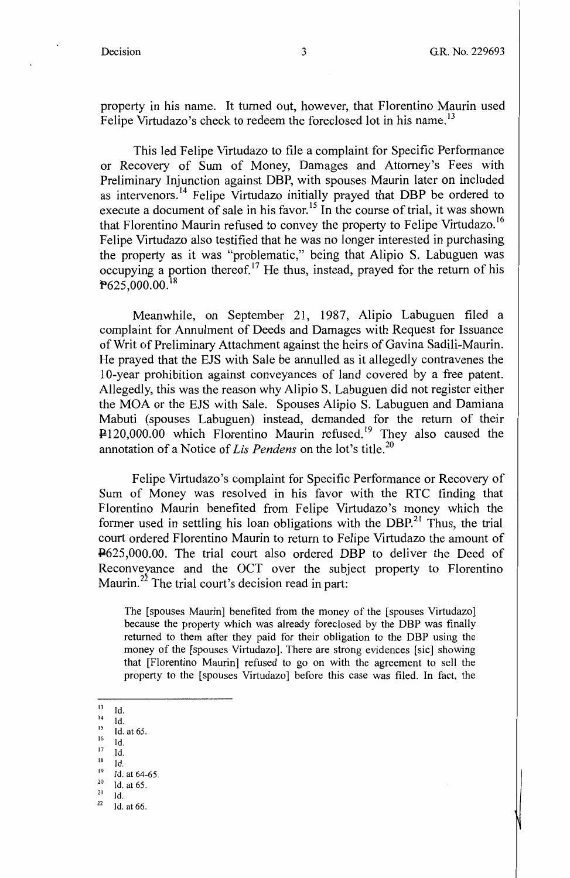property in his name. It turned out, however, that Florentino Maurin used Felipe Virtudazo's check to redeem the foreclosed lot in his name.<sup>13</sup>

This led Felipe Virtudazo to file a complaint for Specific Performance or Recovery of Sum of Money, Damages and Attorney's Fees with Preliminary Injunction against DBP, with spouses Maurin later on included as intervenors.<sup>14</sup> Felipe Virtudazo initially prayed that DBP be ordered to execute a document of sale in his favor.<sup>15</sup> In the course of trial, it was shown that Florentino Maurin refused to convey the property to Felipe Virtudazo.<sup>16</sup> Felipe Virtudazo also testified that he was no longer interested in purchasing the property as it was "problematic," being that Alipio S. Labuguen was occupying a portion thereof.<sup>17</sup> He thus, instead, prayed for the return of his  $P625,000.00.<sup>18</sup>$ 

Meanwhile, on September 21, 1987, Alipio Labuguen filed a complaint for Annulment of Deeds and Damages with Request for Issuance of Writ of Preliminary Attachment against the heirs of Gavina Sadili-Maurin. He prayed that the EJS with Sale be annulled as it allegedly contravenes the 10-year prohibition against conveyances of land covered by a free patent. Allegedly, this was the reason why Alipio S. Labuguen did not register either the MOA or the EJS with Sale. Spouses Alipio S. Labuguen and Damiana Mabuti (spouses Labuguen) instead, demanded for the return of their P120,000.00 which Florentino Maurin refused.<sup>19</sup> They also caused the annotation of a Notice of *Lis Pendens* on the lot's title.<sup>20</sup>

Felipe Virtudazo's complaint for Specific Performance or Recovery of Sum of Money was resolved in his favor with the RTC finding that Florentino Maurin benefited from Felipe Virtudazo's money which the former used in settling his loan obligations with the DBP.<sup>21</sup> Thus, the trial court ordered Florentino Maurin to return to Felipe Virtudazo the amount of P625,000.00. The trial court also ordered DBP to deliver the Deed of Reconveyance and the OCT over the subject property to Florentino Maurin.<sup>22</sup> The trial court's decision read in part:

The [spouses Maurin] benefited from the money of the [spouses Virtudazo] because the property which was already foreclosed by the DBP was finally returned to them after they paid for their obligation to the DBP using the money of the [spouses Virtudazo]. There are strong evidences [sic] showing that [Florentino Maurin] refused to go on with the agreement to sell the property to the [ spouses Virtudazo] before this case was filed. In fact, the

- $15$  Id. at 65.
- $16$  Id.
- $^{17}$  Id.
- $\frac{18}{19}$  Id.<br> $\frac{19}{10}$  Id. at 64-65.
- 
- $\begin{array}{c} 20 \\ 21 \\ 1 \end{array}$  Id. at 65.<br>  $\begin{array}{c} 22 \\ 22 \end{array}$  Id. at 66.

 $13$  Id.

 $14$  Id.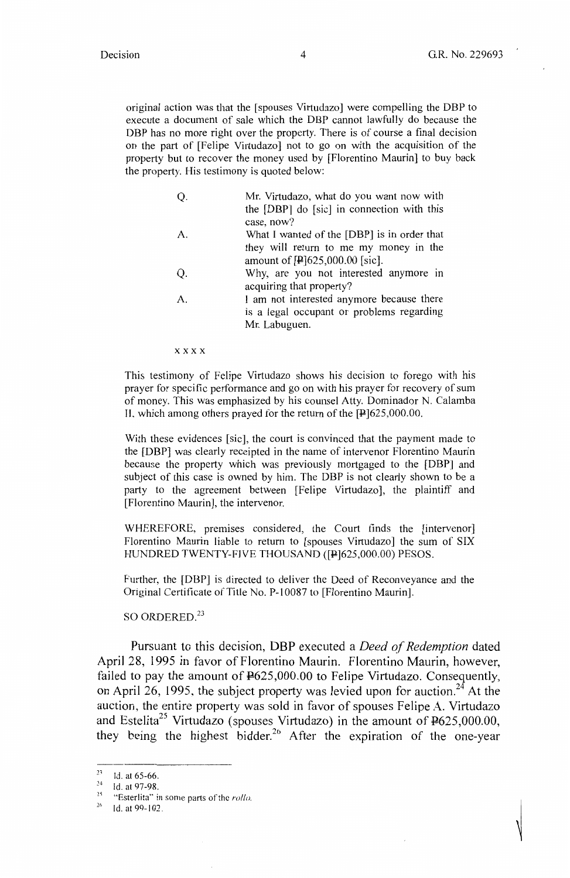original action was that the [spouses Virtudazo] were compelling the DBP to execute a document of sale which the DBP cannot lawfully do because the DBP has no more right over the property. There is of course a final decision on the part of [Felipe Virtudazo] not to go on with the acquisition of the property but to recover the money used by [Florentino Maurin] to buy back the property. His testimony is quoted below:

|              | Mr. Virtudazo, what do you want now with                           |
|--------------|--------------------------------------------------------------------|
|              | the [DBP] do [sic] in connection with this                         |
|              | case, now?                                                         |
| А.           | What I wanted of the [DBP] is in order that                        |
|              | they will return to me my money in the                             |
|              | amount of $[4]625,000.00$ [sic].                                   |
| Q.           | Why, are you not interested anymore in<br>acquiring that property? |
| $\mathbf{A}$ | I am not interested anymore because there                          |
|              | is a legal occupant or problems regarding                          |
|              | Mr. Labuguen.                                                      |
|              |                                                                    |

**xxxx** 

This testimony of Felipe Virtudazo shows his decision to forego with his prayer for specific performance and go on with his prayer for recovery of sum of money. This was emphasized by his counsel Atty. Dominador N. Calamba II, which among others prayed for the return of the  $[P]625,000.00$ .

With these evidences [sic], the court is convinced that the payment made to the [DBP] was clearly receipted in the name of intervenor Florentino Maurin because the property which was previously mortgaged to the [DBP] and subject of this case is owned by him. The DBP is not clearly shown to be a party to the agreement between [Felipe Virtudazo], the plaintiff and [Florentino Maurin], the intervenor.

WHEREFORE, premises considered, the Court finds the [intervenor] Florentino Maurin liable to return to [ spouses Virtudazo] the sum of SIX HUNDRED TWENTY-FIVE THOUSAND ([P]625,000.00) PESOS.

Further, the [DBP] is directed to deliver the Deed of Reconveyance and the Original Certificate of Title No. P-10087 to [Florentino Maurin].

SO ORDERED. $^{23}$ 

Pursuant to this decision, **DBP** executed a *Deed of Redemption* dated April 28, 1995 in favor of Florentino Maurin. Florentino Maurin, however, failed to pay the amount of  $F625,000.00$  to Felipe Virtudazo. Consequently, on April 26, 1995, the subject property was levied upon for auction.<sup>24</sup> At the auction, the entire property was sold in favor of spouses Felipe A. Virtudazo and Estelita<sup>25</sup> Virtudazo (spouses Virtudazo) in the amount of  $\frac{12625,000.00}{1000,000}$ they being the highest bidder.<sup>26</sup> After the expiration of the one-year

 $^{23}$  Id. at 65-66.

<sup>&</sup>lt;sup>24</sup> Id. at 97-98.

<sup>&</sup>lt;sup>25</sup> "Esterlita" in some parts of the *rollo*.

 $26 -$ Id. at 99-102.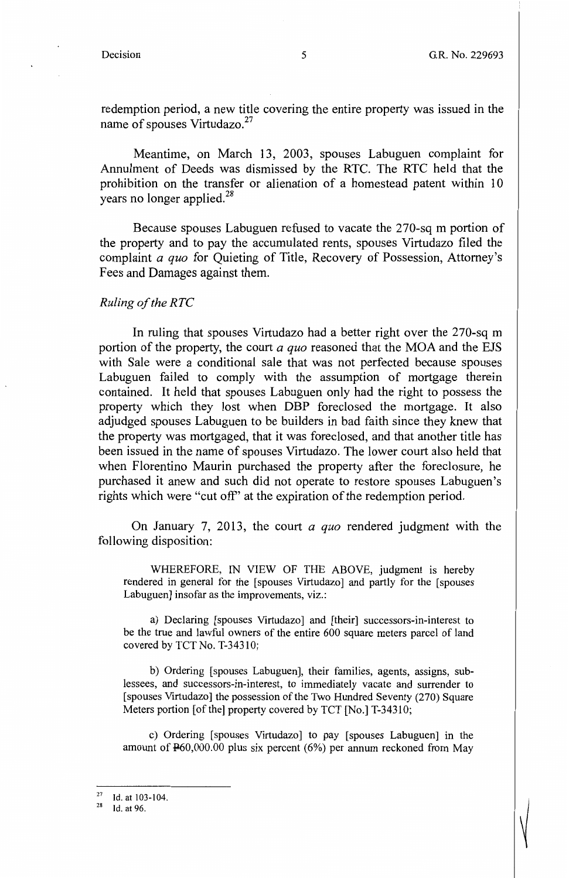——

redemption period, a new title covering the entire property was issued in the name of spouses Virtudazo.<sup>27</sup>

Meantime, on March 13, 2003, spouses Labuguen complaint for Annulment of Deeds was dismissed by the RTC. The RTC held that the prohibition on the transfer or alienation of a homestead patent within 10 years no longer applied.<sup>28</sup>

Because spouses Labuguen refused to vacate the 270-sq m portion of the property and to pay the accumulated rents, spouses Virtudazo filed the complaint *a quo* for Quieting of Title, Recovery of Possession, Attorney's Fees and Damages against them.

#### *Ruling of the RTC*

In ruling that spouses Virtudazo had a better right over the 270-sq m portion of the property, the court *a quo* reasoned that the MOA and the EJS with Sale were a conditional sale that was not perfected because spouses Labuguen failed to comply with the assumption of mortgage therein contained. It held that spouses Labuguen only had the right to possess the property which they lost when DBP foreclosed the mortgage. It also adjudged spouses Labuguen to be builders in bad faith since they knew that the property was mortgaged, that it was foreclosed, and that another title has been issued in the name of spouses Virtudazo. The lower court also held that when Florentino Maurin purchased the property after the foreclosure, he purchased it anew and such did not operate to restore spouses Labuguen's rights which were "cut off'' at the expiration of the redemption period.

On January 7, 2013, the court *a quo* rendered judgment with the following disposition:

WHEREFORE, IN VIEW OF THE ABOVE, judgment is hereby rendered in general for the [spouses Virtudazo] and partly for the [spouses Labuguen] insofar as the improvements, viz.:

a) Declaring [spouses Virtudazo] and [their] successors-in-interest to be the true and lawful owners of the entire 600 square meters parcel of land covered by TCT No. T-34310;

b) Ordering [spouses Labuguen], their families, agents, assigns, sublessees, and successors-in-interest, to immediately vacate and surrender to [spouses Virtudazo] the possession of the Two Hundred Seventy (270) Square Meters portion [of the] property covered by TCT [No.] T-34310;

c) Ordering [ spouses Virtudazo] to pay [ spouses Labuguen] in the amount of P60,000.00 plus six percent (6%) per annum reckoned from May

 $\frac{27}{28}$  Id. at 103-104.<br>
Id. at 96.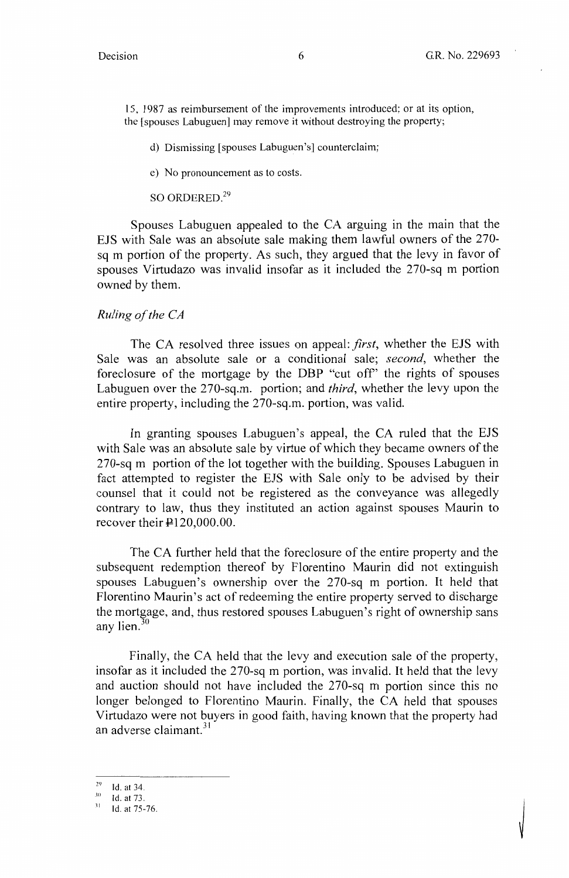15, 1987 as reimbursement of the improvements introduced; or at its option, the [ spouses Labuguen] may remove it without destroying the property;

- d) Dismissing [ spouses Labuguen 's] counterclaim;
- e) No pronouncement as to costs.

SO ORDERED.<sup>29</sup>

Spouses Labuguen appealed to the CA arguing in the main that the EJS with Sale was an absolute sale making them lawful owners of the 270 sq m portion of the property. As such, they argued that the levy in favor of spouses Virtudazo was invalid insofar as it included the 270-sq m portion owned by them.

### *Ruling of the CA*

The CA resolved three issues on appeal: *first,* whether the EJS with Sale was an absolute sale or a conditional sale; *second,* whether the foreclosure of the mortgage by the DBP "cut off' the rights of spouses Labuguen over the 270-sq.m. portion; and *third,* whether the levy upon the entire property, including the 270-sq.m. portion, was valid.

In granting spouses Labuguen's appeal, the CA ruled that the EJS with Sale was an absolute sale by virtue of which they became owners of the 270-sq m portion of the lot together with the building. Spouses Labuguen in fact attempted to register the EJS with Sale only to be advised by their counsel that it could not be registered as the conveyance was allegedly contrary to law, thus they instituted an action against spouses Maurin to recover their  $\text{P120,000.00}$ .

The CA further held that the foreclosure of the entire property and the subsequent redemption thereof by Florentino Maurin did not extinguish spouses Labuguen's ownership over the 270-sq m portion. It held that Florentino Maurin's act of redeeming the entire property served to discharge the mortgage, and, thus restored spouses Labuguen's right of ownership sans any lien. $\frac{30}{3}$ 

Finally, the CA held that the levy and execution sale of the property, insofar as it included the 270-sq m portion, was invalid. It held that the levy and auction should not have included the 270-sq m portion since this no longer belonged to Florentino Maurin. Finally, the CA held that spouses Virtudazo were not buyers in good faith, having known that the property had an adverse claimant.<sup>31</sup>

 $^{29}$  Id. at 34.

 $10$ . at 73.

 $31$  Id. at 75-76.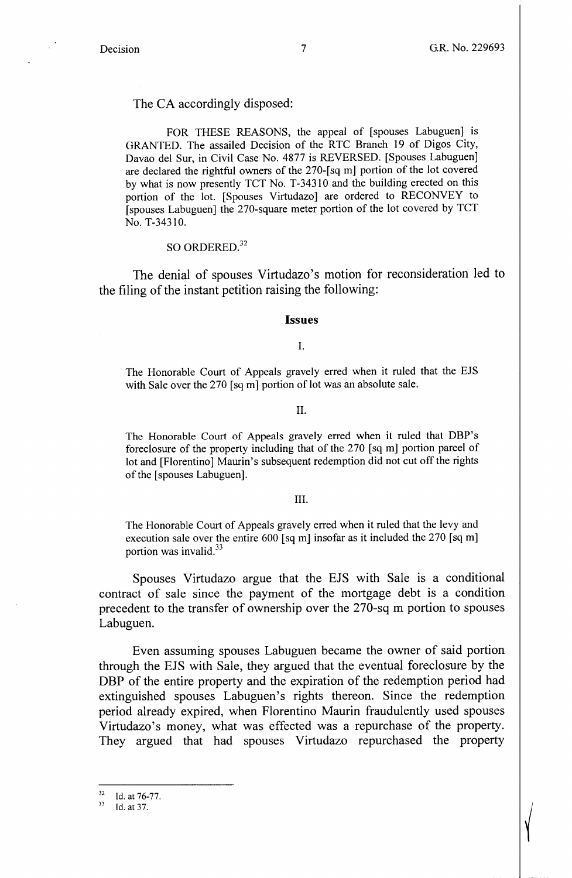$\left( \begin{array}{c} \end{array} \right)$ 

The CA accordingly disposed:

FOR THESE REASONS, the appeal of [spouses Labuguen] is GRANTED. The assailed Decision of the RTC Branch 19 of Digos City, Davao del Sur, in Civil Case No. 4877 is REVERSED. [Spouses Labuguen] are declared the rightful owners of the 270-[ sq m] portion of the lot covered by what is now presently TCT No. T-34310 and the building erected on this portion of the lot. [Spouses Virtudazo] are ordered to RECONVEY to [spouses Labuguen] the 270-square meter portion of the lot covered by TCT No. T-34310.

#### SO ORDERED.<sup>32</sup>

The denial of spouses Virtudazo's motion for reconsideration led to the filing of the instant petition raising the following:

#### **Issues**

I.

The Honorable Court of Appeals gravely erred when it ruled that the EJS with Sale over the 270 [sq m] portion of lot was an absolute sale.

#### II.

The Honorable Court of Appeals gravely erred when it ruled that DBP's foreclosure of the property including that of the 270 [sq m] portion parcel of lot and [Florentino] Maurin's subsequent redemption did not cut off the rights of the [ spouses Labuguen].

#### III.

The Honorable Court of Appeals gravely erred when it ruled that the levy and execution sale over the entire  $600$  [sq m] insofar as it included the 270 [sq m] portion was invalid.<sup>33</sup>

Spouses Virtudazo argue that the EJS with Sale is a conditional contract of sale since the payment of the mortgage debt is a condition precedent to the transfer of ownership over the 270-sq m portion to spouses Labuguen.

Even assuming spouses Labuguen became the owner of said portion through the EJS with Sale, they argued that the eventual foreclosure by the DBP of the entire property and the expiration of the redemption period had extinguished spouses Labuguen's rights thereon. Since the redemption period already expired, when Florentino Maurin fraudulently used spouses Virtudazo's money, what was effected was a repurchase of the property. They argued that had spouses Virtudazo repurchased the property

 $rac{32}{33}$  Id. at 76-77.<br>Id. at 37.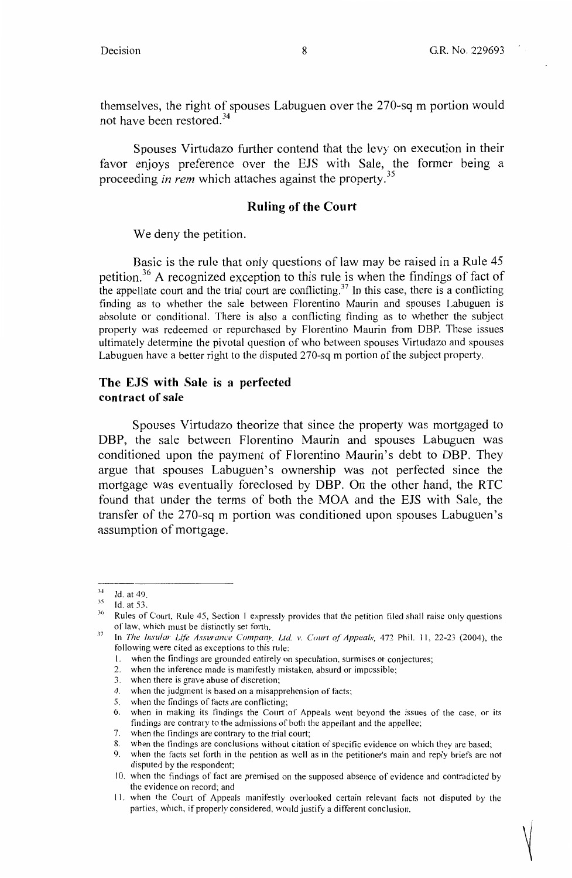——

themselves, the right of spouses Labuguen over the 270-sq m portion would not have been restored.<sup>34</sup>

Spouses Virtudazo further contend that the levy on execution in their favor enjoys preference over the EJS with Sale, the former being a proceeding *in rem* which attaches against the property.<sup>35</sup>

#### **Ruling of the Court**

We deny the petition.

Basic is the rule that only questions of law may be raised in a Rule 45 petition.<sup>36</sup> A recognized exception to this rule is when the findings of fact of the appellate court and the trial court are conflicting.<sup>37</sup> In this case, there is a conflicting finding as to whether the sale between Florentino Maurin and spouses Labuguen is absolute or conditional. There is also a conflicting finding as to whether the subject property was redeemed or repurchased by Florentino Maurin from DBP. These issues ultimately determine the pivotal question of who between spouses Virtudazo and spouses Labuguen have a better right to the disputed 270-sq m portion of the subject property.

### **The EJS with Sale is a perfected contract of sale**

Spouses Virtudazo theorize that since the property was mortgaged to DBP, the sale between Florentino Maurin and spouses Labuguen was conditioned upon the payment of Florentino Maurin's debt to DBP. They argue that spouses Labuguen's ownership was not perfected since the mortgage was eventually foreclosed by DBP. On the other hand, the RTC found that under the terms of both the MOA and the EJS with Sale, the transfer of the 270-sq m portion was conditioned upon spouses Labuguen's assumption of mortgage.

<sup>.1~</sup>  Id. at 49.

 $^{35}$  Id. at 53.

<sup>&</sup>lt;sup>36</sup> Rules of Court, Rule 45, Section 1 expressly provides that the petition filed shall raise only questions of law, which must be distinctly set forth.

<sup>&</sup>lt;sup>37</sup> In *The Insular Life Assurance Company, Ltd. v. Court of Appeals,* 472 Phil. 11, 22-23 (2004), the following were cited as exceptions to this rule:

<sup>1.</sup> when the findings are grounded entirely on speculation, surmises or conjectures;

<sup>2.</sup> when the inference made is manifestly mistaken, absurd or impossible;

<sup>3.</sup> when there is grave abuse of discretion;

<sup>4.</sup> when the judgment is based on a misapprehension of facts;

<sup>5.</sup> when the findings of facts are conflicting;

<sup>6.</sup> when in making its findings the Court of Appeals went beyond the issues of the case, or its findings are contrary to the admissions of both the appellant and the appellee;

<sup>7.</sup> when the findings are contrary to che trial court;

<sup>8.</sup> when the findings are conclusions without citation of specific evidence on which they are based;

<sup>9.</sup> when the facts set forth in the petition as well as in the petitioner's main and reply briefs are not disputed by the respondent;

I 0. when the findings of fact are premised on the supposed absence of evidence and contradicted by the evidence on record; and

<sup>11.</sup> when the Court of Appeals manifestly overlooked certain relevant facts not disputed by the parties, which, if properly considered, would justify a different conclusion.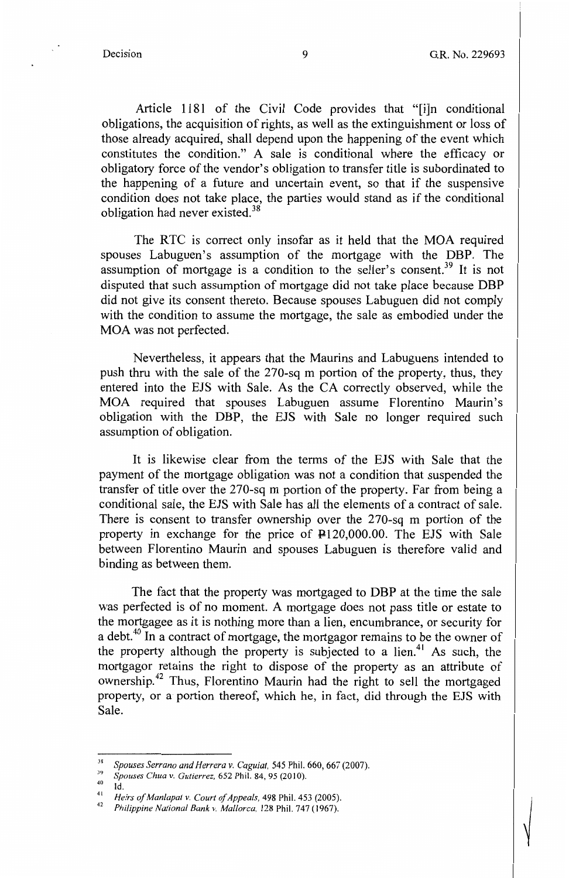Article 1181 of the Civil Code provides that "[i]n conditional obligations, the acquisition of rights, as well as the extinguishment or loss of those already acquired, shall depend upon the happening of the event which constitutes the condition." A sale is conditional where the efficacy or obligatory force of the vendor's obligation to transfer title is subordinated to the happening of a future and uncertain event, so that if the suspensive condition does not take place, the parties would stand as if the conditional obligation had never existed.<sup>38</sup>

The RTC is correct only insofar as it held that the MOA required spouses Labuguen's assumption of the mortgage with the DBP. The assumption of mortgage is a condition to the seller's consent.<sup>39</sup> It is not disputed that such assumption of mortgage did not take place because **DBP**  did not give its consent thereto. Because spouses Labuguen did not comply with the condition to assume the mortgage, the sale as embodied under the MOA was not perfected.

Nevertheless, it appears that the Maurins and Labuguens intended to push thru with the sale of the 270-sq m portion of the property, thus, they entered into the EJS with Sale. As the CA correctly observed, while the MOA required that spouses Labuguen assume Florentino Maurin's obligation with the DBP, the EJS with Sale no longer required such assumption of obligation.

It is likewise clear from the terms of the EJS with Sale that the payment of the mortgage obligation was not a condition that suspended the transfer of title over the 270-sq m portion of the property. Far from being a conditional sale, the EJS with Sale has all the elements of a contract of sale. There is consent to transfer ownership over the 270-sq m portion of the property in exchange for the price of  $\text{P120,000.00}$ . The EJS with Sale between Florentino Maurin and spouses Labuguen is therefore valid and binding as between them.

The fact that the property was mortgaged to DBP at the time the sale was perfected is of no moment. A mortgage does not pass title or estate to the mortgagee as it is nothing more than a lien, encumbrance, or security for a debt.<sup>40</sup> In a contract of mortgage, the mortgagor remains to be the owner of the property although the property is subjected to a lien.<sup>41</sup> As such, the mortgagor retains the right to dispose of the property as an attribute of ownership.42 Thus, Florentino Maurin had the right to sell the mortgaged property, or a portion thereof, which he, in fact, did through the EJS with Sale.

4o Id.

<sup>&</sup>lt;sup>38</sup> Spouses Serrano and Herrera v. Caguiat, 545 Phil. 660, 667 (2007).<br><sup>39</sup> Spouses Chua v. Gutierrez, 652 Phil. 84, 95 (2010).

<sup>41</sup>*Heirs of Manlapat v. Court of Appeals,* 498 Phil. 453 (2005). 42 *Philippine National Bank v. Mallorca,* 128 Phil. 747 (1967).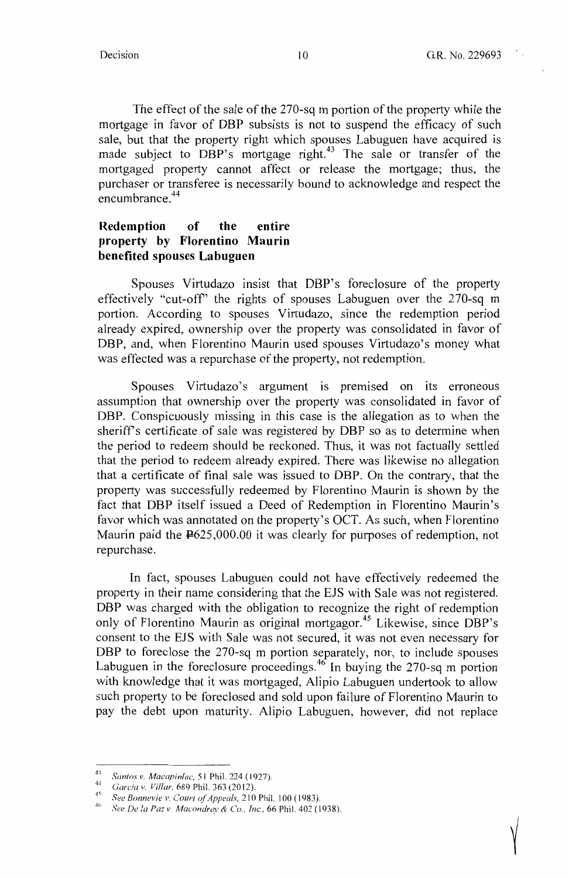The effect of the sale of the 270-sq m portion of the property while the mortgage in favor of DBP subsists is not to suspend the efficacy of such sale, but that the property right which spouses Labuguen have acquired is made subject to DBP's mortgage right.<sup>43</sup> The sale or transfer of the mortgaged property cannot affect or release the mortgage; thus, the purchaser or transferee is necessarily bound to acknowledge and respect the encumbrance.<sup>44</sup>

### **Redemption of the entire property by Florentino Maurin benefited spouses Labuguen**

Spouses Virtudazo insist that DBP's foreclosure of the property effectively "cut-off'' the rights of spouses Labuguen over the 270-sq m portion. According to spouses Virtudazo, since the redemption period already expired, ownership over the property was consolidated in favor of DBP, and, when Florentino Maurin used spouses Virtudazo's money what was effected was a repurchase of the property, not redemption.

Spouses Virtudazo's argument is premised on its erroneous assumption that ownership over the property was consolidated in favor of DBP. Conspicuously missing in this case is the allegation as to when the sheriff's certificate of sale was registered by DBP so as to determine when the period to redeem should be reckoned. Thus, it was not factually settled that the period to redeem already expired. There was likewise no allegation that a certificate of final sale was issued to DBP. On the contrary, that the property was successfully redeemed by Florentino Maurin is shown by the fact that DBP itself issued a Deed of Redemption in Florentino Maurin's favor which was annotated on the property's OCT. As such, when Florentino Maurin paid the P625,000.00 it was clearly for purposes of redemption, not repurchase.

In fact, spouses Labuguen could not have effectively redeemed the property in their name considering that the EJS with Sale was not registered. DBP was charged with the obligation to recognize the right of redemption only of Florentino Maurin as original mortgagor.<sup>45</sup> Likewise, since DBP's consent to the EJS with Sale was not secured, it was not even necessary for DBP to foreclose the 270-sq m portion separately, nor, to include spouses Labuguen in the foreclosure proceedings.<sup>46</sup> In buying the 270-sq m portion with knowledge that it was mortgaged, Alipio Labuguen undertook to allow such property to be foreclosed and sold upon failure of Florentino Maurin to pay the debt upon maturity. Alipio Labuguen, however, did not replace

<sup>41</sup>*Santos v. Macapinlac,* 51 Phil. 224 ( 1927).

<sup>44</sup>*Garcia v. Villar*, 689 Phil. 363 (2012).

<sup>&</sup>lt;sup>45</sup> See Bonnevie v. Court of Appeals, 210 Phil. 100 (1983).

*<sup>41&#</sup>x27; See De la Pa::: v Macondray & Co., Inc.,* 66 Phil. 402 (1938).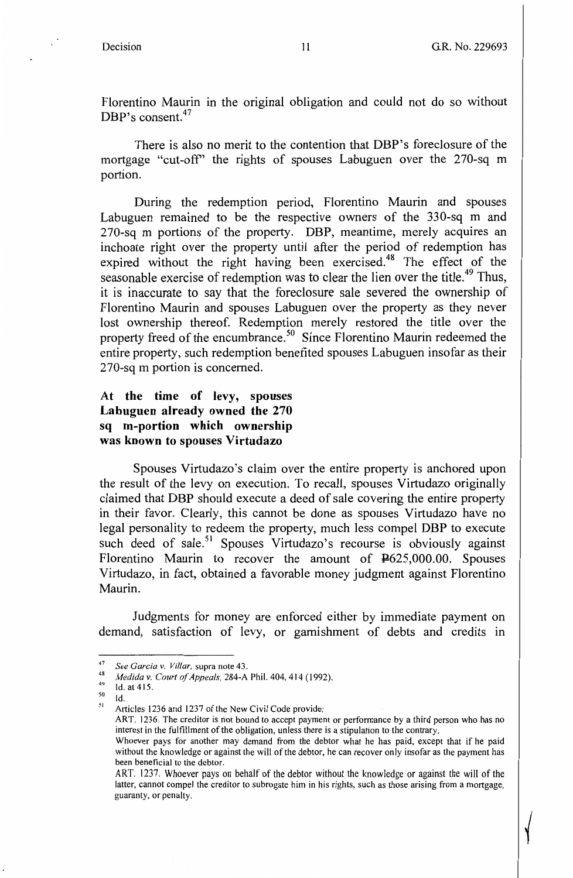$\bigg\{$ 

Florentino Maurin in the original obligation and could not do so without DBP's consent.<sup>47</sup>

There is also no merit to the contention that DBP's foreclosure of the mortgage "cut-off' the rights of spouses Labuguen over the 270-sq m portion.

During the redemption period, Florentino Maurin and spouses Labuguen remained to be the respective owners of the 330-sq m and 270-sq m portions of the property. DBP, meantime, merely acquires an inchoate right over the property until after the period of redemption has expired without the right having been exercised.<sup>48</sup> The effect of the seasonable exercise of redemption was to clear the lien over the title.<sup>49</sup> Thus, it is inaccurate to say that the foreclosure sale severed the ownership of Florentino Maurin and spouses Labuguen over the property as they never lost ownership thereof. Redemption merely restored the title over the property freed of the encumbrance.<sup>50</sup> Since Florentino Maurin redeemed the entire property, such redemption benefited spouses Labuguen insofar as their 270-sq m portion is concerned.

## **At the time of levy, spouses Labuguen already owned the 270 sq m-portion which ownership was known to spouses Virtudazo**

Spouses Virtudazo's claim over the entire property is anchored upon the result of the levy on execution. To recall, spouses Virtudazo originally claimed that DBP should execute a deed of sale covering the entire property in their favor. Clearly, this cannot be done as spouses Virtudazo have no legal personality to redeem the property, much less compel DBP to execute such deed of sale.<sup>51</sup> Spouses Virtudazo's recourse is obviously against Florentino Maurin to recover the amount of P625,000.00. Spouses Virtudazo, in fact, obtained a favorable money judgment against Florentino Maurin.

Judgments for money are enforced either by immediate payment on demand, satisfaction of levy, or garnishment of debts and credits in

 $50$  Id.

ART. 1236. The creditor is not bound to accept payment or performance by a third person who has no interest in the fulfillment of the obligation, unless there is a stipulation to the contrary.

<sup>&</sup>lt;sup>47</sup> See Garcia v. *Villar*, supra note 43.<br><sup>48</sup> *Medida v. Court of Appeals,* 284-A Phil. 404, 414 (1992).<br><sup>49</sup> Id. at 415.

<sup>&</sup>lt;sup>51</sup> Articles 1236 and 1237 of the New Civil Code provide:

Whoever pays for another may demand from the debtor what he has paid, except that if he paid without the knowledge or against the will of the debtor, he can recover only insofar as the payment has been beneficial to the debtor.

ART. 1237. Whoever pays on behalf of the debtor without the knowledge or against the will of the latter, cannot compel the creditor to subrogate him in his rights, such as those arising from a mortgage, guaranty, or penalty.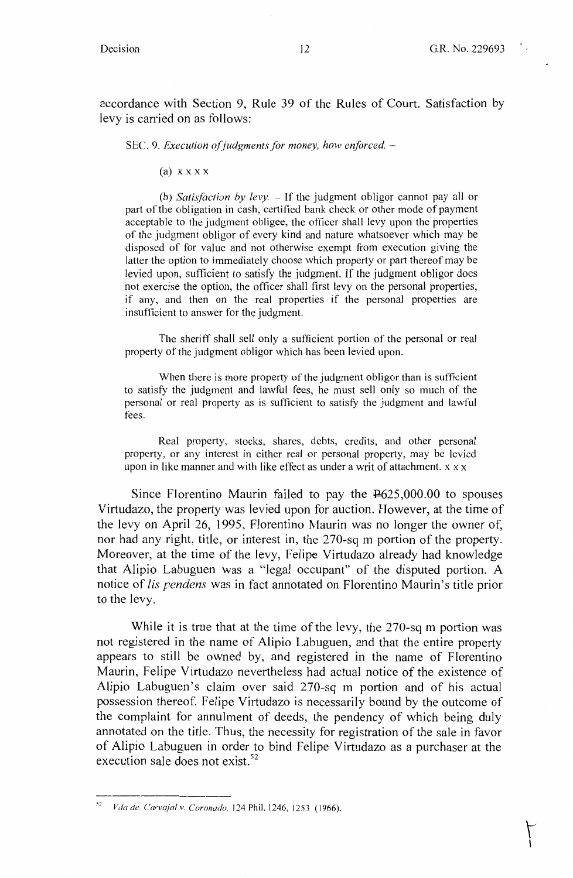$\Gamma$ 

accordance with Section 9, Rule 39 of the Rules of Court. Satisfaction by levy is carried on as follows:

SEC. 9. *Execution of judgments for money, how enforced.* -

(a) **XX XX** 

(b) *Satisfaction by levy.* – If the judgment obligor cannot pay all or part of the obligation in cash, certified bank check or other mode of payment acceptable to the judgment obligee, the officer shall levy upon the properties of the judgment obligor of every kind and nature whatsoever which may be disposed of for value and not otherwise exempt from execution giving the latter the option to immediately choose which property or part thereof may be levied upon, sufficient to satisfy the judgment. If the judgment obligor does not exercise the option, the officer shall first levy on the personal properties, if any, and then on the real properties if the personal properties are insufficient to answer for the judgment.

The sheriff shall sell only a sufficient portion of the personal or real property of the judgment obligor which has been levied upon.

When there is more property of the judgment obligor than is sufficient to satisfy the judgment and lawful fees, he must sell only so much of the personal or real property as is sufficient to satisfy the judgment and lawful fees.

Real property, stocks, shares, debts, credits, and other personal property, or any interest in either real or personal property, may be levied upon in like manner and with like effect as under a writ of attachment. x x x

Since Florentino Maurin failed to pay the P625,000.00 to spouses Virtudazo, the property was levied upon for auction. However, at the time of the levy on April 26, 1995, Florentino Maurin was no longer the owner of, nor had any right, title, or interest in, the 270-sq m portion of the property. Moreover, at the time of the levy, Felipe Virtudazo already had knowledge that Alipio Labuguen was a "legal occupant" of the disputed portion. A notice of *lis pendens* was in fact annotated on Florentino Maurin's title prior to the levy.

While it is true that at the time of the levy, the 270-sq m portion was not registered in the name of Alipio Labuguen, and that the entire property appears to still be owned by, and registered in the name of Florentino Maurin, Felipe Virtudazo nevertheless had actual notice of the existence of Alipio Labuguen's claim over said 270-sq m portion and of his actual possession thereof. Felipe Virtudazo is necessarily bound by the outcome of the complaint for annulment of deeds, the pendency of which being duly annotated on the title. Thus, the necessity for registration of the sale in favor of Alipio Labuguen in order to bind Felipe Virtudazo as a purchaser at the execution sale does not exist.<sup>52</sup>

<sup>52</sup>*Vila de. Carvajal v. Coronado,* 124 Phil. 1246, 1253 (1966).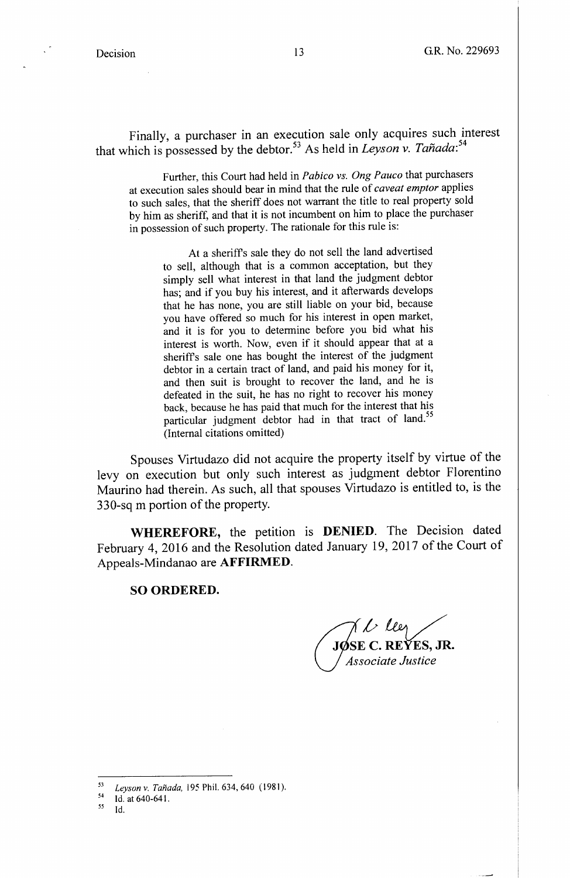Finally, a purchaser in an execution sale only acquires such interest that which is possessed by the debtor.<sup>53</sup> As held in *Leyson v. Tañada*:<sup>54</sup>

Further, this Court had held in *Pabico vs. Ong Pauco* that purchasers at execution sales should bear in mind that the rule of *caveat emptor* applies to such sales, that the sheriff does not warrant the title to real property sold by him as sheriff, and that it is not incumbent on him to place the purchaser in possession of such property. The rationale for this rule is:

At a sheriffs sale they do not sell the land advertised to sell, although that is a common acceptation, but they simply sell what interest in that land the judgment debtor has; and if you buy his interest, and it afterwards develops that he has none, you are still liable on your bid, because you have offered so much for his interest in open market, and it is for you to determine before you bid what his interest is worth. Now, even if it should appear that at a sheriffs sale one has bought the interest of the judgment debtor in a certain tract of land, and paid his money for it, and then suit is brought to recover the land, and he is defeated in the suit, he has no right to recover his money back, because he has paid that much for the interest that his particular judgment debtor had in that tract of land.<sup>55</sup> (Internal citations omitted)

Spouses Virtudazo did not acquire the property itself by virtue of the levy on execution but only such interest as judgment debtor Florentino Maurino had therein. As such, all that spouses Virtudazo is entitled to, is the 330-sq m portion of the property.

**WHEREFORE,** the petition is **DENIED.** The Decision dated February 4, 2016 and the Resolution dated January 19, 2017 of the Court of Appeals-Mindanao are **AFFIRMED.** 

#### **SO ORDERED.**

*J L Lee*<br>JOSE C. REYES, JR.

*VIs:ociate Justice* 

<sup>53</sup> Leyson v. Tañada, 195 Phil. 634, 640 (1981).<br>54 Leh et 640 641

Id. at 640-641.

 $55$  Id.